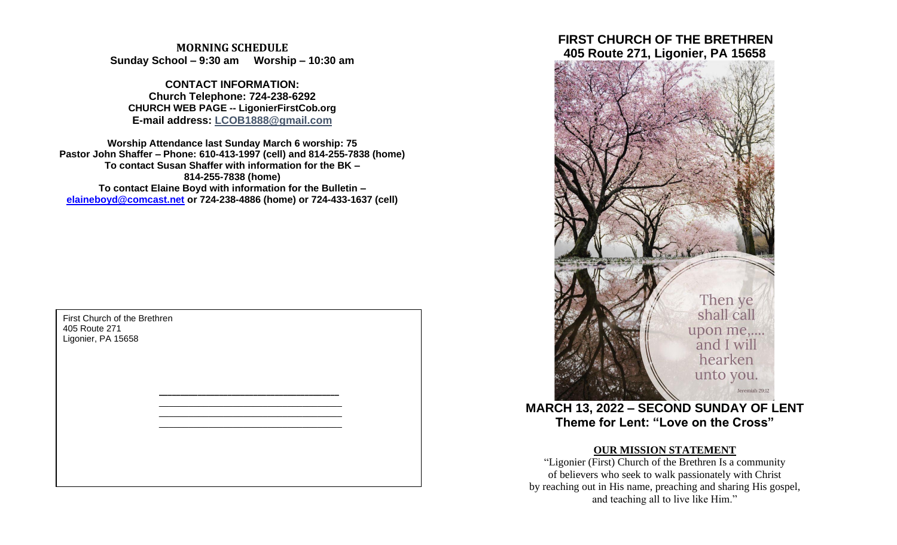**MORNING SCHEDULE Sunday School – 9:30 am Worship – 10:30 am**

**CONTACT INFORMATION: Church Telephone: 724-238-6292 CHURCH WEB PAGE -- LigonierFirstCob.org E-mail address: LCOB1888@gmail.com**

**Worship Attendance last Sunday March 6 worship: 75 Pastor John Shaffer – Phone: 610-413-1997 (cell) and 814-255-7838 (home) To contact Susan Shaffer with information for the BK – 814-255-7838 (home) To contact Elaine Boyd with information for the Bulletin – [elaineboyd@comcast.net](mailto:elaineboyd@comcast.net) or 724-238-4886 (home) or 724-433-1637 (cell)**

> **\_\_\_\_\_\_\_\_\_\_\_\_\_\_\_\_\_\_\_\_\_\_\_\_\_\_\_\_\_\_\_\_\_\_\_\_\_\_\_\_\_\_** \_\_\_\_\_\_\_\_\_\_\_\_\_\_\_\_\_\_\_\_\_\_\_\_\_\_\_\_\_\_\_\_\_\_\_\_\_ \_\_\_\_\_\_\_\_\_\_\_\_\_\_\_\_\_\_\_\_\_\_\_\_\_\_\_\_\_\_\_\_\_\_\_\_\_ \_\_\_\_\_\_\_\_\_\_\_\_\_\_\_\_\_\_\_\_\_\_\_\_\_\_\_\_\_\_\_\_\_\_\_\_\_

First Church of the Brethren 405 Route 271 Ligonier, PA 15658

# **FIRST CHURCH OF THE BRETHREN 405 Route 271, Ligonier, PA 15658**



**MARCH 13, 2022 – SECOND SUNDAY OF LENT Theme for Lent: "Love on the Cross"**

## **OUR MISSION STATEMENT**

"Ligonier (First) Church of the Brethren Is a community of believers who seek to walk passionately with Christ by reaching out in His name, preaching and sharing His gospel, and teaching all to live like Him."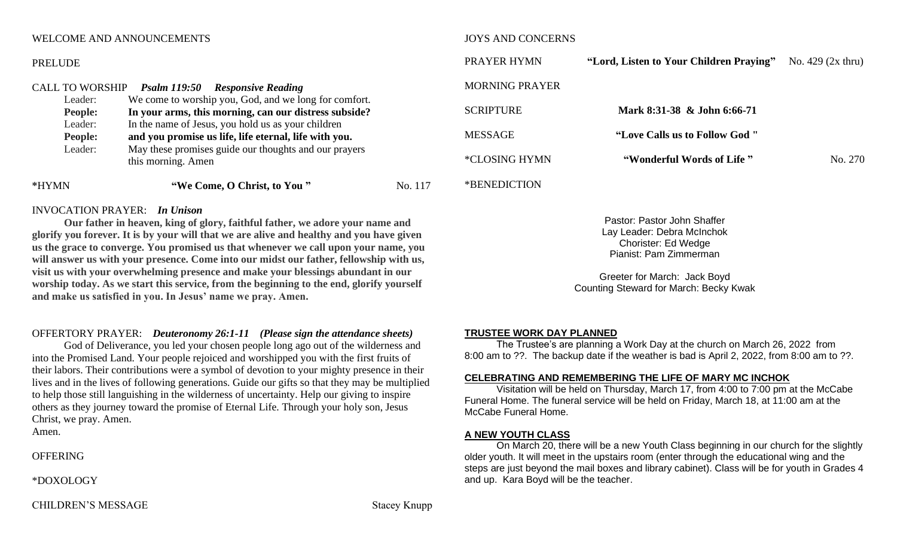## WELCOME AND ANNOUNCEMENTS

#### PRELUDE

| <b>CALL TO WORSHIP</b> | <b>Psalm 119:50 Responsive Reading</b>                |         |
|------------------------|-------------------------------------------------------|---------|
| Leader:                | We come to worship you, God, and we long for comfort. |         |
| <b>People:</b>         | In your arms, this morning, can our distress subside? |         |
| Leader:                | In the name of Jesus, you hold us as your children    |         |
| <b>People:</b>         | and you promise us life, life eternal, life with you. |         |
| Leader:                | May these promises guide our thoughts and our prayers |         |
|                        | this morning. Amen                                    |         |
| *HYMN                  | "We Come, O Christ, to You"                           | No. 117 |

## INVOCATION PRAYER: *In Unison*

**Our father in heaven, king of glory, faithful father, we adore your name and glorify you forever. It is by your will that we are alive and healthy and you have given us the grace to converge. You promised us that whenever we call upon your name, you will answer us with your presence. Come into our midst our father, fellowship with us, visit us with your overwhelming presence and make your blessings abundant in our worship today. As we start this service, from the beginning to the end, glorify yourself and make us satisfied in you. In Jesus' name we pray. Amen.**

## OFFERTORY PRAYER: *Deuteronomy 26:1-11 (Please sign the attendance sheets)*

God of Deliverance, you led your chosen people long ago out of the wilderness and into the Promised Land. Your people rejoiced and worshipped you with the first fruits of their labors. Their contributions were a symbol of devotion to your mighty presence in their lives and in the lives of following generations. Guide our gifts so that they may be multiplied to help those still languishing in the wilderness of uncertainty. Help our giving to inspire others as they journey toward the promise of Eternal Life. Through your holy son, Jesus Christ, we pray. Amen. Amen.

**OFFERING** 

\*DOXOLOGY

#### JOYS AND CONCERNS

| PRAYER HYMN      | "Lord, Listen to Your Children Praying" No. 429 (2x thru) |         |
|------------------|-----------------------------------------------------------|---------|
| MORNING PRAYER   |                                                           |         |
| <b>SCRIPTURE</b> | Mark 8:31-38 & John 6:66-71                               |         |
| <b>MESSAGE</b>   | "Love Calls us to Follow God"                             |         |
| *CLOSING HYMN    | "Wonderful Words of Life"                                 | No. 270 |
| *BENEDICTION     |                                                           |         |

Pastor: Pastor John Shaffer Lay Leader: Debra McInchok Chorister: Ed Wedge Pianist: Pam Zimmerman

Greeter for March: Jack Boyd Counting Steward for March: Becky Kwak

#### **TRUSTEE WORK DAY PLANNED**

The Trustee's are planning a Work Day at the church on March 26, 2022 from 8:00 am to ??. The backup date if the weather is bad is April 2, 2022, from 8:00 am to ??.

#### **CELEBRATING AND REMEMBERING THE LIFE OF MARY MC INCHOK**

Visitation will be held on Thursday, March 17, from 4:00 to 7:00 pm at the McCabe Funeral Home. The funeral service will be held on Friday, March 18, at 11:00 am at the McCabe Funeral Home.

## **A NEW YOUTH CLASS**

On March 20, there will be a new Youth Class beginning in our church for the slightly older youth. It will meet in the upstairs room (enter through the educational wing and the steps are just beyond the mail boxes and library cabinet). Class will be for youth in Grades 4 and up. Kara Boyd will be the teacher.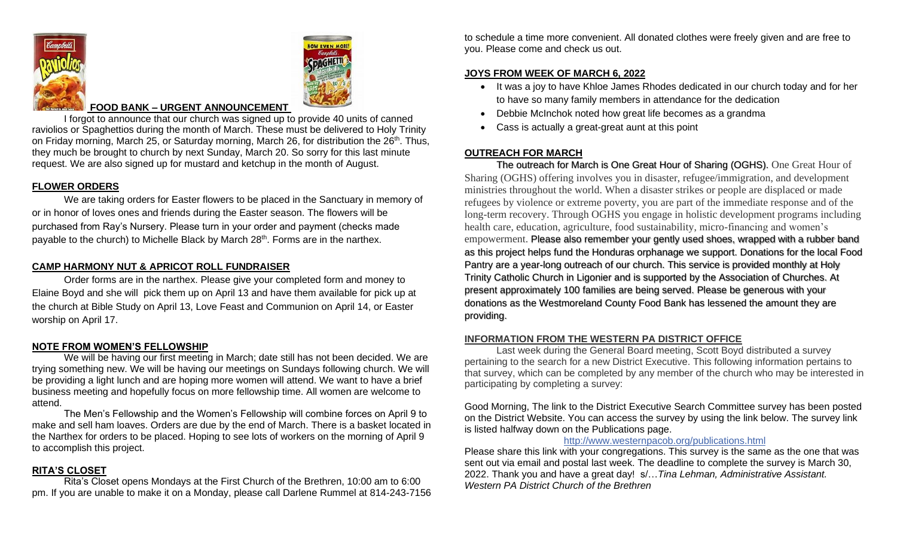



## **FOOD BANK – URGENT ANNOUNCEMENT**

I forgot to announce that our church was signed up to provide 40 units of canned raviolios or Spaghettios during the month of March. These must be delivered to Holy Trinity on Friday morning, March 25, or Saturday morning, March 26, for distribution the 26<sup>th</sup>. Thus, they much be brought to church by next Sunday, March 20. So sorry for this last minute request. We are also signed up for mustard and ketchup in the month of August.

## **FLOWER ORDERS**

We are taking orders for Easter flowers to be placed in the Sanctuary in memory of or in honor of loves ones and friends during the Easter season. The flowers will be purchased from Ray's Nursery. Please turn in your order and payment (checks made payable to the church) to Michelle Black by March 28<sup>th</sup>. Forms are in the narthex.

## **CAMP HARMONY NUT & APRICOT ROLL FUNDRAISER**

Order forms are in the narthex. Please give your completed form and money to Elaine Boyd and she will pick them up on April 13 and have them available for pick up at the church at Bible Study on April 13, Love Feast and Communion on April 14, or Easter worship on April 17.

#### **NOTE FROM WOMEN'S FELLOWSHIP**

We will be having our first meeting in March; date still has not been decided. We are trying something new. We will be having our meetings on Sundays following church. We will be providing a light lunch and are hoping more women will attend. We want to have a brief business meeting and hopefully focus on more fellowship time. All women are welcome to attend.

The Men's Fellowship and the Women's Fellowship will combine forces on April 9 to make and sell ham loaves. Orders are due by the end of March. There is a basket located in the Narthex for orders to be placed. Hoping to see lots of workers on the morning of April 9 to accomplish this project.

#### **RITA'S CLOSET**

Rita's Closet opens Mondays at the First Church of the Brethren, 10:00 am to 6:00 pm. If you are unable to make it on a Monday, please call Darlene Rummel at 814-243-7156

to schedule a time more convenient. All donated clothes were freely given and are free to you. Please come and check us out.

#### **JOYS FROM WEEK OF MARCH 6, 2022**

- It was a joy to have Khloe James Rhodes dedicated in our church today and for her to have so many family members in attendance for the dedication
- Debbie McInchok noted how great life becomes as a grandma
- Cass is actually a great-great aunt at this point

### **OUTREACH FOR MARCH**

The outreach for March is One Great Hour of Sharing (OGHS). One Great Hour of Sharing (OGHS) offering involves you in disaster, refugee/immigration, and development ministries throughout the world. When a disaster strikes or people are displaced or made refugees by violence or extreme poverty, you are part of the immediate response and of the long-term recovery. Through OGHS you engage in holistic development programs including health care, education, agriculture, food sustainability, micro-financing and women's empowerment. Please also remember your gently used shoes, wrapped with a rubber band as this project helps fund the Honduras orphanage we support. Donations for the local Food Pantry are a year-long outreach of our church. This service is provided monthly at Holy Trinity Catholic Church in Ligonier and is supported by the Association of Churches. At present approximately 100 families are being served. Please be generous with your donations as the Westmoreland County Food Bank has lessened the amount they are providing.

## **INFORMATION FROM THE WESTERN PA DISTRICT OFFICE**

Last week during the General Board meeting, Scott Boyd distributed a survey pertaining to the search for a new District Executive. This following information pertains to that survey, which can be completed by any member of the church who may be interested in participating by completing a survey:

Good Morning, The link to the District Executive Search Committee survey has been posted on the District Website. You can access the survey by using the link below. The survey link is listed halfway down on the Publications page.

## <http://www.westernpacob.org/publications.html>

Please share this link with your congregations. This survey is the same as the one that was sent out via email and postal last week. The deadline to complete the survey is March 30, 2022. Thank you and have a great day! s/…*Tina Lehman, Administrative Assistant. Western PA District Church of the Brethren*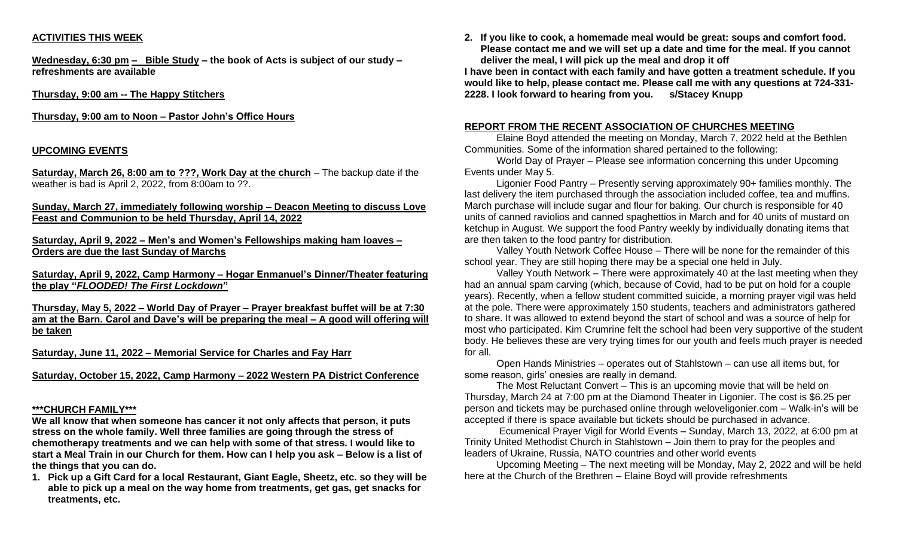## **ACTIVITIES THIS WEEK**

**Wednesday, 6:30 pm – Bible Study – the book of Acts is subject of our study – refreshments are available**

**Thursday, 9:00 am -- The Happy Stitchers** 

**Thursday, 9:00 am to Noon – Pastor John's Office Hours**

## **UPCOMING EVENTS**

**Saturday, March 26, 8:00 am to ???, Work Day at the church** – The backup date if the weather is bad is April 2, 2022, from 8:00am to ??.

**Sunday, March 27, immediately following worship – Deacon Meeting to discuss Love Feast and Communion to be held Thursday, April 14, 2022**

### **Saturday, April 9, 2022 – Men's and Women's Fellowships making ham loaves – Orders are due the last Sunday of Marchs**

**Saturday, April 9, 2022, Camp Harmony – Hogar Enmanuel's Dinner/Theater featuring the play "***FLOODED! The First Lockdown***"**

**Thursday, May 5, 2022 – World Day of Prayer – Prayer breakfast buffet will be at 7:30 am at the Barn. Carol and Dave's will be preparing the meal – A good will offering will be taken**

**Saturday, June 11, 2022 – Memorial Service for Charles and Fay Harr**

**Saturday, October 15, 2022, Camp Harmony – 2022 Western PA District Conference**

## **\*\*\*CHURCH FAMILY\*\*\***

**We all know that when someone has cancer it not only affects that person, it puts stress on the whole family. Well three families are going through the stress of chemotherapy treatments and we can help with some of that stress. I would like to start a Meal Train in our Church for them. How can I help you ask – Below is a list of the things that you can do.**

**1. Pick up a Gift Card for a local Restaurant, Giant Eagle, Sheetz, etc. so they will be able to pick up a meal on the way home from treatments, get gas, get snacks for treatments, etc.**

**2. If you like to cook, a homemade meal would be great: soups and comfort food. Please contact me and we will set up a date and time for the meal. If you cannot deliver the meal, I will pick up the meal and drop it off**

**I have been in contact with each family and have gotten a treatment schedule. If you would like to help, please contact me. Please call me with any questions at 724-331- 2228. I look forward to hearing from you. s/Stacey Knupp**

#### **REPORT FROM THE RECENT ASSOCIATION OF CHURCHES MEETING**

Elaine Boyd attended the meeting on Monday, March 7, 2022 held at the Bethlen Communities. Some of the information shared pertained to the following:

World Day of Prayer – Please see information concerning this under Upcoming Events under May 5.

Ligonier Food Pantry – Presently serving approximately 90+ families monthly. The last delivery the item purchased through the association included coffee, tea and muffins. March purchase will include sugar and flour for baking. Our church is responsible for 40 units of canned raviolios and canned spaghettios in March and for 40 units of mustard on ketchup in August. We support the food Pantry weekly by individually donating items that are then taken to the food pantry for distribution.

Valley Youth Network Coffee House – There will be none for the remainder of this school year. They are still hoping there may be a special one held in July.

Valley Youth Network – There were approximately 40 at the last meeting when they had an annual spam carving (which, because of Covid, had to be put on hold for a couple years). Recently, when a fellow student committed suicide, a morning prayer vigil was held at the pole. There were approximately 150 students, teachers and administrators gathered to share. It was allowed to extend beyond the start of school and was a source of help for most who participated. Kim Crumrine felt the school had been very supportive of the student body. He believes these are very trying times for our youth and feels much prayer is needed for all.

Open Hands Ministries – operates out of Stahlstown – can use all items but, for some reason, girls' onesies are really in demand.

The Most Reluctant Convert – This is an upcoming movie that will be held on Thursday, March 24 at 7:00 pm at the Diamond Theater in Ligonier. The cost is \$6.25 per person and tickets may be purchased online through weloveligonier.com – Walk-in's will be accepted if there is space available but tickets should be purchased in advance.

Ecumenical Prayer Vigil for World Events – Sunday, March 13, 2022, at 6:00 pm at Trinity United Methodist Church in Stahlstown – Join them to pray for the peoples and leaders of Ukraine, Russia, NATO countries and other world events

Upcoming Meeting – The next meeting will be Monday, May 2, 2022 and will be held here at the Church of the Brethren – Elaine Boyd will provide refreshments